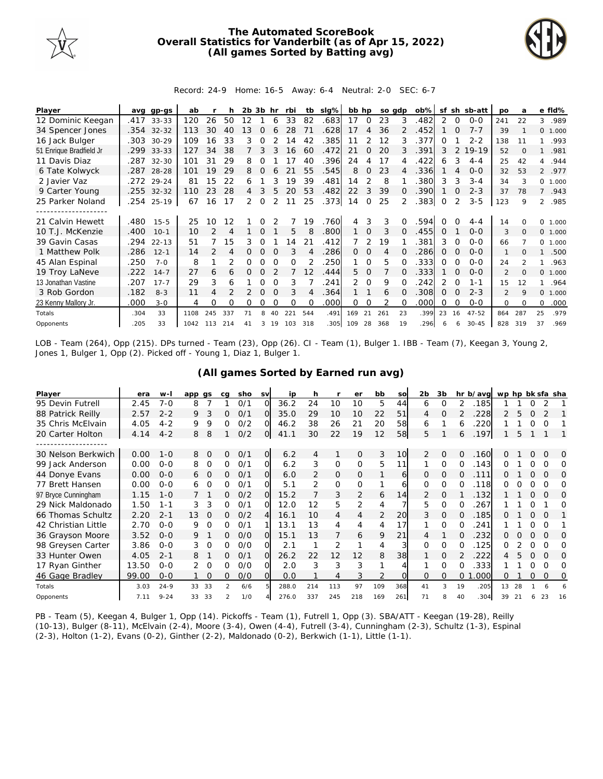

## **The Automated ScoreBook Overall Statistics for Vanderbilt (as of Apr 15, 2022) (All games Sorted by Batting avg)**



## Record: 24-9 Home: 16-5 Away: 6-4 Neutral: 2-0 SEC: 6-7

| Player                  | ava  | gp-gs      | ab   |               |                          | 2b 3b |          | hr       | rbi      | tb       | slg% | bb hp        |             | so adp |          | $ob\%$ | sf       |          | sh sb-att | po             | a        |                | e fld%  |
|-------------------------|------|------------|------|---------------|--------------------------|-------|----------|----------|----------|----------|------|--------------|-------------|--------|----------|--------|----------|----------|-----------|----------------|----------|----------------|---------|
| 12 Dominic Keegan       | .417 | $33 - 33$  | 120  | 26            | 50                       | 12    |          | 6        | 33       | 82       | .683 | 17           | 0           | 23     | 3        | .482   | 2        | 0        | $0 - 0$   | 241            | 22       | 3              | .989    |
| 34 Spencer Jones        |      | .354 32-32 | 113  | 30            | 40                       | 13    | $\Omega$ | 6        | 28       | 71       | .628 | 17           | 4           | 36     |          | .452   |          | $\Omega$ | $7 - 7$   | 39             |          |                | 0 1.000 |
| 16 Jack Bulger          | .303 | $30 - 29$  | 109  | 16            | 33                       | 3     | Ω        |          | 4        | 42       | 385  | 11           | 2           | 12     | 3        | .377   | O        |          | $2 - 2$   | 138            | 11       |                | .993    |
| 51 Enrique Bradfield Jr | .299 | $33 - 33$  | 127  | 34            | 38                       |       | 3        | 3        | 16       | 60       | .472 | 21           | $\Omega$    | 20     |          | .391   | 3        |          | $19 - 19$ | 52             | $\Omega$ |                | .981    |
| 11 Davis Diaz           | .287 | $32 - 30$  | 101  | 31            | 29                       | 8     | Ω        |          | 17       | 40       | .396 | 24           |             | 17     |          | .422   | 6        |          | $4 - 4$   | 25             | 42       | 4              | .944    |
| 6 Tate Kolwyck          | .287 | $28 - 28$  | 101  | 19            | 29                       | 8     |          |          | 21       | 55       | .545 | 8            | 0           | 23     |          | .336   |          |          | $0 - 0$   | 32             | 53       |                | 2 .977  |
| 2 Javier Vaz            |      | .272 29-24 | 81   | 15            | 22                       | 6     |          | 3        | 19       | 39       | .481 | 14           |             | 8      |          | .380   | 3        | 3        | $3 - 4$   | 34             | 3        |                | 0 1.000 |
| 9 Carter Young          |      | .255 32-32 | 110  | 23            | 28                       | 4     | 3        | 5.       | 20       | 53       | .482 | 22           | 3           | 39     | O        | .390   |          | $\Omega$ | $2 - 3$   | 37             | 78       | $\overline{7}$ | .943    |
| 25 Parker Noland        | .254 | $25-19$    | 67   | 16            | 17                       | 2     | $\Omega$ | 2        | 11       | 25       | .373 | 14           | $\Omega$    | 25     |          | .383   | $\Omega$ |          | $3 - 5$   | 123            | 9        | $\overline{2}$ | .985    |
|                         |      |            |      |               |                          |       |          |          |          |          |      |              |             |        |          |        |          |          |           |                |          |                |         |
| 21 Calvin Hewett        | .480 | $15 - 5$   | 25   | 10            | 12                       |       |          |          |          | 19       | .760 | 4            | 3           | 3      |          | .594   |          |          | $4 - 4$   | 14             |          | $\Omega$       | 1.000   |
| 10 T.J. McKenzie        | .400 | $10-1$     | 10   | $\mathcal{P}$ | $\boldsymbol{\varDelta}$ |       | $\Omega$ |          | 5        | 8        | .800 | $\mathbf{1}$ | $\mathbf 0$ | 3      | $\Omega$ | .455   | 0        |          | $0 - 0$   | 3              | $\Omega$ |                | 0 1.000 |
| 39 Gavin Casas          | .294 | $22 - 13$  | 51   |               | 15                       | 3     | 0        |          | 14       | 21       | .412 |              | 2           | 19     |          | .381   | 3        | $\Omega$ | $0 - 0$   | 66             |          |                | 0 1.000 |
| 1 Matthew Polk          | .286 | $12 - 1$   | 14   |               | 4                        | 0     | $\Omega$ |          |          |          | .286 | 0            | 0           | 4      |          | .286   | 0        |          | $0 - 0$   | $\mathbf{1}$   |          |                | .500    |
| 45 Alan Espinal         | .250 | $7 - 0$    | 8    |               |                          | Ω     | O        |          | O        |          | 250  |              | $\Omega$    | 5      |          | .333   | $\Omega$ |          | $0 - 0$   | 24             |          |                | .963    |
| 19 Troy LaNeve          | .222 | $14 - 7$   | 27   | 6             | 6                        | 0     | $\Omega$ |          |          | 12       | .444 | 5.           | $\Omega$    |        | 0        | .333   |          | $\Omega$ | $0 - 0$   | 2              | $\Omega$ |                | 0 1.000 |
| 13 Jonathan Vastine     | .207 | $17 - 7$   | 29   | 3             | 6                        |       | Ω        |          | 3        |          | .241 | 2            | $\Omega$    | 9      |          | 242    | 2        | $\Omega$ | $1 - 1$   | 15             | 12       |                | .964    |
| 3 Rob Gordon            | .182 | $8 - 3$    | 11   | 4             |                          |       | $\Omega$ |          | 3        | 4        | .364 |              |             | 6      | $\Omega$ | .308   | $\Omega$ |          | $2 - 3$   | $\mathfrak{D}$ | 9        |                | 0 1.000 |
| 23 Kenny Mallory Jr.    | .000 | $3 - 0$    | 4    | Ω             | Ω                        | 0     | Ω        | $\Omega$ | $\Omega$ | $\Omega$ | .000 | 0            | 0           | 2      | 0        | .000   | $\Omega$ | ∩        | $0 - 0$   | $\Omega$       | $\Omega$ | 0              | .000    |
| Totals                  | .304 | 33         | 1108 | 245           | 337                      | 71    | 8        | 40       | 221      | 544      | .491 | 169          | 21          | 261    | 23       | .399   | 23       | 16       | $47 - 52$ | 864            | 287      | 25             | .979    |
| Opponents               | .205 | 33         | 1042 | 113           | 214                      | 41    | 3        | 19       | 103      | 318      | .305 | 109          | 28          | 368    | 19       | .296   |          | 6        | $30 - 45$ | 828            | 319      | 37             | .969    |

LOB - Team (264), Opp (215). DPs turned - Team (23), Opp (26). CI - Team (1), Bulger 1. IBB - Team (7), Keegan 3, Young 2, Jones 1, Bulger 1, Opp (2). Picked off - Young 1, Diaz 1, Bulger 1.

| Player              | era   | $W -$    | app qs   |          | ca            | sho | <b>SV</b>      | ip    | h              |     | er             | bb  | SO  | 2 <sub>b</sub> | 3b       |    | hr b/avg | wp hp bk sfa sha |    |          |          |     |
|---------------------|-------|----------|----------|----------|---------------|-----|----------------|-------|----------------|-----|----------------|-----|-----|----------------|----------|----|----------|------------------|----|----------|----------|-----|
| 95 Devin Futrell    | 2.45  | $7 - 0$  | 8        |          |               | O/1 | $\Omega$       | 36.2  | 24             | 10  | 10             | 5   | 44  | 6              | 0        | 2  | 185      |                  |    |          |          |     |
| 88 Patrick Reilly   | 2.57  | $2 - 2$  | 9        | 3        | 0             | O/1 | $\Omega$       | 35.0  | 29             | 10  | 10             | 22  | 51  | 4              | 0        |    | 228      | 2                | 5  |          |          |     |
| 35 Chris McElvain   | 4.05  | $4 - 2$  | 9        | 9        | Ω             | O/2 | O              | 46.2  | 38             | 26  | 21             | 20  | 58  | 6              |          | 6  | 220      |                  |    |          | $\Omega$ |     |
| 20 Carter Holton    | 4.14  | $4 - 2$  | 8        | 8        |               | O/2 | $\overline{O}$ | 41.1  | 30             | 22  | 19             | 12  | 58  | 5.             |          | 6  | .197     |                  | 5  |          |          |     |
|                     |       |          |          |          |               |     |                |       |                |     |                |     |     |                |          |    |          |                  |    |          |          |     |
| 30 Nelson Berkwich  | 0.00  | $1 - 0$  | 8        | $\Omega$ | 0             | O/1 | O              | 6.2   | 4              | 1   | $\Omega$       | 3   | 10  | $\overline{2}$ | $\Omega$ | 0  | .160     | 0                |    | $\Omega$ | $\Omega$ | Ω   |
| 99 Jack Anderson    | 0.00  | $O - O$  | 8        | 0        | 0             | 0/1 | O.             | 6.2   | 3              | 0   | 0              | 5   | 11  |                | O        | 0  | 143      | ∩                |    |          | ∩        | Ω   |
| 44 Donye Evans      | 0.00  | $O-O$    | 6        | 0        | 0             | O/1 | O.             | 6.0   | $\overline{2}$ | 0   | 0              |     | 6   | 0              | 0        | O  | .111     | Ο                |    | $\Omega$ | O        | O   |
| 77 Brett Hansen     | 0.00  | $O - O$  | 6        | $\Omega$ | 0             | O/1 | O.             | 5.1   | 2              | 0   | $\Omega$       |     | 6   | 0              | $\Omega$ | 0  | .118     | O                |    |          |          | O   |
| 97 Bryce Cunningham | 1.15  | $1 - 0$  |          |          | 0             | O/2 | $\Omega$       | 15.2  |                | 3   | $\overline{2}$ | 6   | 14  | $\mathcal{P}$  | O        |    | 132      |                  |    | $\Omega$ | $\Omega$ | Ω   |
| 29 Nick Maldonado   | 1.50  | $1 - 1$  | 3        | 3        | Ω             | 0/1 | O.             | 12.0  | 12             | 5   | 2              | 4   |     | 5.             | $\Omega$ | 0  | 267      |                  |    | Ω        |          | Ω   |
| 66 Thomas Schultz   | 2.20  | $2 - 1$  | 13       | $\circ$  | 0             | O/2 | 4              | 16.1  | 10             | 4   | 4              | 2   | 20  | 3              | 0        | Ω  | .185     |                  |    |          | $\Omega$ |     |
| 42 Christian Little | 2.70  | $0 - 0$  | 9        | O        | 0             | O/1 | 1              | 13.1  | 13             | 4   | 4              | 4   | 17  |                | 0        | O  | .241     |                  |    |          |          |     |
| 36 Grayson Moore    | 3.52  | $O - O$  | 9        |          | 0             | O/O | $\Omega$       | 15.1  | 1.3            | 7   | 6              | 9   | 21  | 4              |          | O  | 232      | 0                |    |          | $\Omega$ | O   |
| 98 Greysen Carter   | 3.86  | $O - O$  | 3        | 0        | 0             | O/O | O.             | 2.1   |                | 2   |                | 4   |     | 0              | 0        | Ω  | .125     | Ω                |    |          | $\Omega$ | Ω   |
| 33 Hunter Owen      | 4.05  | $2 - 1$  | 8        |          | 0             | 0/1 | O.             | 26.2  | 22             | 12  | 12             | 8   | 38  |                | Ω        |    | .222     | 4                | 5  | $\Omega$ | $\Omega$ | O   |
| 17 Ryan Ginther     | 13.50 | $O - O$  |          | $\Omega$ | 0             | O/O | O.             | 2.0   | 3              | 3   | 3              |     |     |                | O        |    | .333     |                  |    |          | ∩        | Ω   |
| 46 Gage Bradley     | 99.00 | $O - O$  |          | $\Omega$ | 0             | O/O | $\Omega$       | 0.0   |                | 4   | 3              | 2   |     | Ω              | 0        | 0  | .000     | 0                |    | O        | $\Omega$ | Ω   |
| Totals              | 3.03  | $24 - 9$ | 33<br>33 |          | $\mathcal{P}$ | 6/6 |                | 288.0 | 214            | 113 | 97             | 109 | 368 | 41             | 3        | 19 | .205     | 13               | 28 |          |          |     |
| Opponents           | 7.11  | $9 - 24$ | 33<br>33 |          | 2             | 1/0 |                | 276.0 | 337            | 245 | 218            | 169 | 261 | 71             | 8        | 40 | 304      | 39               | 21 | 6        | 23       | -16 |

## **(All games Sorted by Earned run avg)**

PB - Team (5), Keegan 4, Bulger 1, Opp (14). Pickoffs - Team (1), Futrell 1, Opp (3). SBA/ATT - Keegan (19-28), Reilly (10-13), Bulger (8-11), McElvain (2-4), Moore (3-4), Owen (4-4), Futrell (3-4), Cunningham (2-3), Schultz (1-3), Espinal (2-3), Holton (1-2), Evans (0-2), Ginther (2-2), Maldonado (0-2), Berkwich (1-1), Little (1-1).